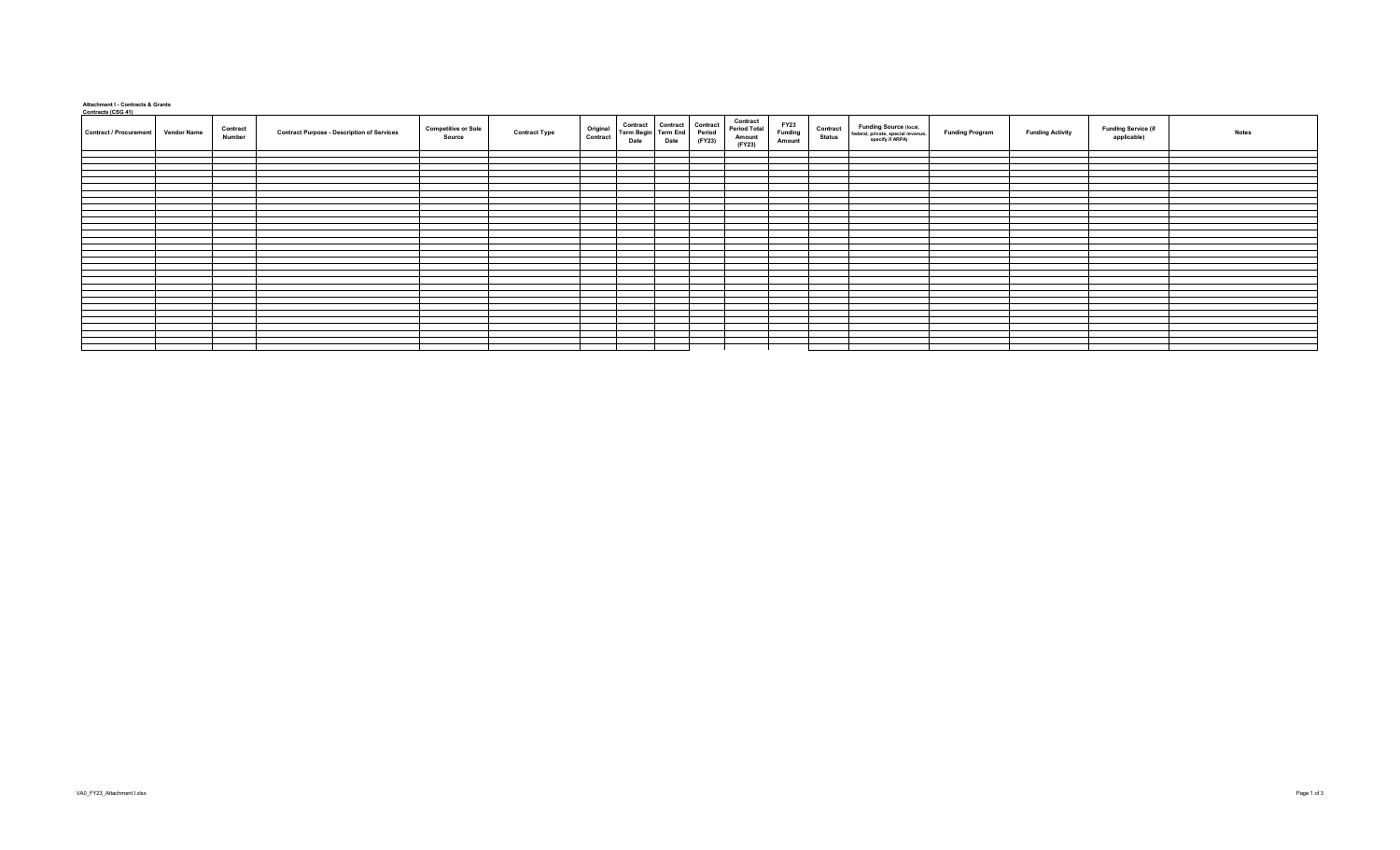## **Attachment I - Contracts & Grants Contracts (CSG 41)**

| Collude is 1030 411<br><b>Vendor Name</b><br><b>Contract / Procurement</b> | Contract<br>Number | <b>Contract Purpose - Description of Services</b> | <b>Competitive or Sole</b><br>Source | Original<br>Contract<br><b>Contract Type</b> | Contract Contract Contract<br>Term Begin Term End Period<br>Date | Date | <b>Contract</b><br>Period Total<br>Amount<br>(FY23)<br>(FY23) | FY23<br>Funding<br>Amount | Funding Source (local,<br>federal, private, special revenue,<br>specify if ARPA)<br>Contract<br>Status | <b>Funding Program</b> | <b>Funding Activity</b> | Funding Service (if<br>applicable)<br><b>Notes</b> |  |
|----------------------------------------------------------------------------|--------------------|---------------------------------------------------|--------------------------------------|----------------------------------------------|------------------------------------------------------------------|------|---------------------------------------------------------------|---------------------------|--------------------------------------------------------------------------------------------------------|------------------------|-------------------------|----------------------------------------------------|--|
|                                                                            |                    |                                                   |                                      |                                              |                                                                  |      |                                                               |                           |                                                                                                        |                        |                         |                                                    |  |
|                                                                            |                    |                                                   |                                      |                                              |                                                                  |      |                                                               |                           |                                                                                                        |                        |                         |                                                    |  |
|                                                                            |                    |                                                   |                                      |                                              |                                                                  |      |                                                               |                           |                                                                                                        |                        |                         |                                                    |  |
|                                                                            |                    |                                                   |                                      |                                              |                                                                  |      |                                                               |                           |                                                                                                        |                        |                         |                                                    |  |
|                                                                            |                    |                                                   |                                      |                                              |                                                                  |      |                                                               |                           |                                                                                                        |                        |                         |                                                    |  |
|                                                                            |                    |                                                   |                                      |                                              |                                                                  |      |                                                               |                           |                                                                                                        |                        |                         |                                                    |  |
|                                                                            |                    |                                                   |                                      |                                              |                                                                  |      |                                                               |                           |                                                                                                        |                        |                         |                                                    |  |
|                                                                            |                    |                                                   |                                      |                                              |                                                                  |      |                                                               |                           |                                                                                                        |                        |                         |                                                    |  |
|                                                                            |                    |                                                   |                                      |                                              |                                                                  |      |                                                               |                           |                                                                                                        |                        |                         |                                                    |  |
|                                                                            |                    |                                                   |                                      |                                              |                                                                  |      |                                                               |                           |                                                                                                        |                        |                         |                                                    |  |
|                                                                            |                    |                                                   |                                      |                                              |                                                                  |      |                                                               |                           |                                                                                                        |                        |                         |                                                    |  |
|                                                                            |                    |                                                   |                                      |                                              |                                                                  |      |                                                               |                           |                                                                                                        |                        |                         |                                                    |  |
|                                                                            |                    |                                                   |                                      |                                              |                                                                  |      |                                                               |                           |                                                                                                        |                        |                         |                                                    |  |
|                                                                            |                    |                                                   |                                      |                                              |                                                                  |      |                                                               |                           |                                                                                                        |                        |                         |                                                    |  |
|                                                                            |                    |                                                   |                                      |                                              |                                                                  |      |                                                               |                           |                                                                                                        |                        |                         |                                                    |  |
|                                                                            |                    |                                                   |                                      |                                              |                                                                  |      |                                                               |                           |                                                                                                        |                        |                         |                                                    |  |
|                                                                            |                    |                                                   |                                      |                                              |                                                                  |      |                                                               |                           |                                                                                                        |                        |                         |                                                    |  |
|                                                                            |                    |                                                   |                                      |                                              |                                                                  |      |                                                               |                           |                                                                                                        |                        |                         |                                                    |  |
|                                                                            |                    |                                                   |                                      |                                              |                                                                  |      |                                                               |                           |                                                                                                        |                        |                         |                                                    |  |
|                                                                            |                    |                                                   |                                      |                                              |                                                                  |      |                                                               |                           |                                                                                                        |                        |                         |                                                    |  |
|                                                                            |                    |                                                   |                                      |                                              |                                                                  |      |                                                               |                           |                                                                                                        |                        |                         |                                                    |  |
|                                                                            |                    |                                                   |                                      |                                              |                                                                  |      |                                                               |                           |                                                                                                        |                        |                         |                                                    |  |
|                                                                            |                    |                                                   |                                      |                                              |                                                                  |      |                                                               |                           |                                                                                                        |                        |                         |                                                    |  |
|                                                                            |                    |                                                   |                                      |                                              |                                                                  |      |                                                               |                           |                                                                                                        |                        |                         |                                                    |  |
|                                                                            |                    |                                                   |                                      |                                              |                                                                  |      |                                                               |                           |                                                                                                        |                        |                         |                                                    |  |
|                                                                            |                    |                                                   |                                      |                                              |                                                                  |      |                                                               |                           |                                                                                                        |                        |                         |                                                    |  |
|                                                                            |                    |                                                   |                                      |                                              |                                                                  |      |                                                               |                           |                                                                                                        |                        |                         |                                                    |  |
|                                                                            |                    |                                                   |                                      |                                              |                                                                  |      |                                                               |                           |                                                                                                        |                        |                         |                                                    |  |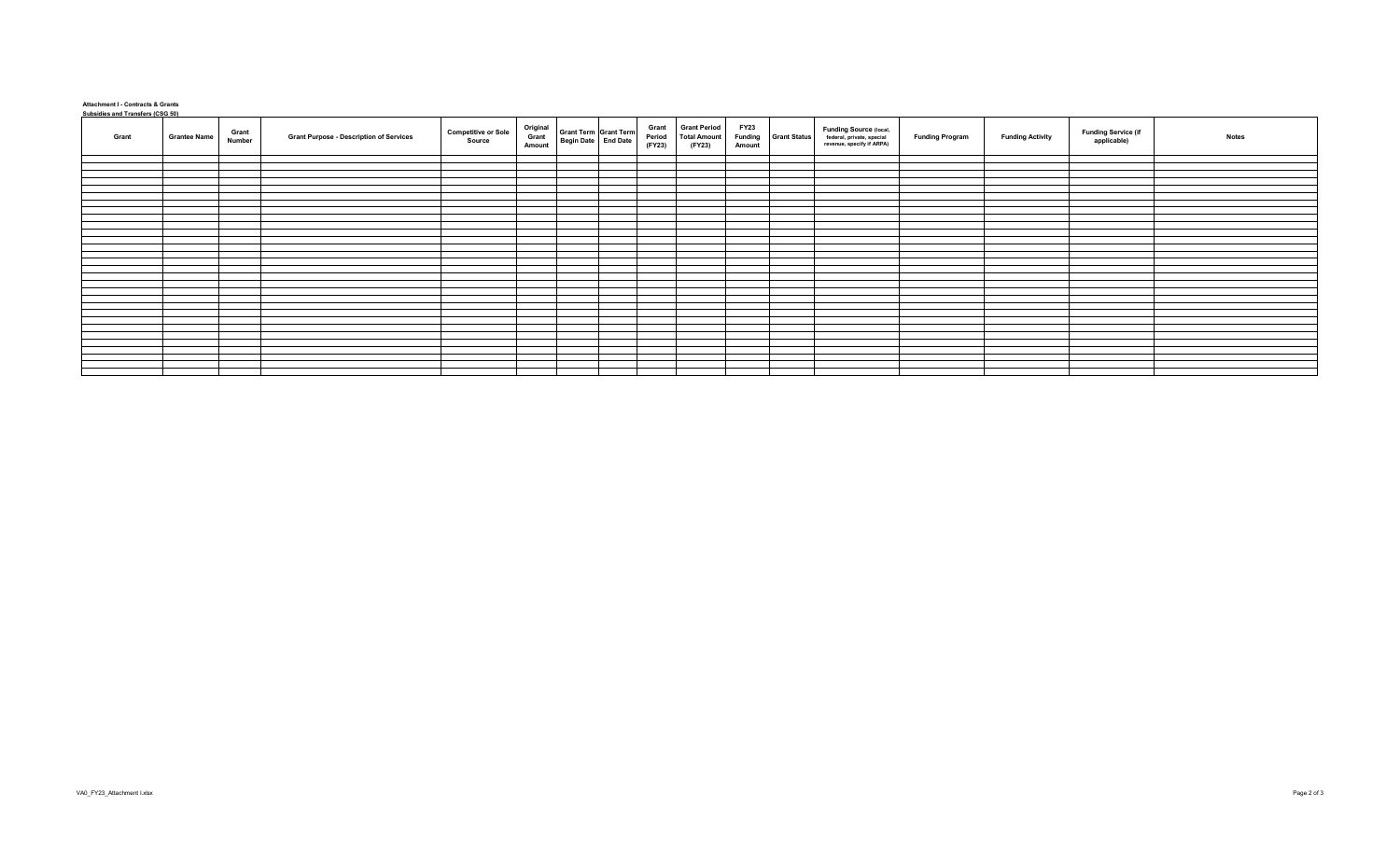## **Attachment I - Contracts & Grants Subsidies and Transfers (CSG 50)**

| <u><b><u>Considies</u></b> and Transfers (COC 50)</u> |                     | Grant  |                                                |                                      |                             |                                              | Grant<br>Period | <b>Grant Period</b>           | <b>FY23</b>       |                     | Funding Source (local,<br>federal, private, special |                        |                         |                                    |              |
|-------------------------------------------------------|---------------------|--------|------------------------------------------------|--------------------------------------|-----------------------------|----------------------------------------------|-----------------|-------------------------------|-------------------|---------------------|-----------------------------------------------------|------------------------|-------------------------|------------------------------------|--------------|
| Grant                                                 | <b>Grantee Name</b> | Number | <b>Grant Purpose - Description of Services</b> | <b>Competitive or Sole</b><br>Source | Original<br>Grant<br>Amount | Grant Term Grant Term<br>Begin Date End Date | (FY23)          | <b>Total Amount</b><br>(FY23) | Funding<br>Amount | <b>Grant Status</b> | revenue, specify if ARPA)                           | <b>Funding Program</b> | <b>Funding Activity</b> | Funding Service (if<br>applicable) | <b>Notes</b> |
|                                                       |                     |        |                                                |                                      |                             |                                              |                 |                               |                   |                     |                                                     |                        |                         |                                    |              |
|                                                       |                     |        |                                                |                                      |                             |                                              |                 |                               |                   |                     |                                                     |                        |                         |                                    |              |
|                                                       |                     |        |                                                |                                      |                             |                                              |                 |                               |                   |                     |                                                     |                        |                         |                                    |              |
|                                                       |                     |        |                                                |                                      |                             |                                              |                 |                               |                   |                     |                                                     |                        |                         |                                    |              |
|                                                       |                     |        |                                                |                                      |                             |                                              |                 |                               |                   |                     |                                                     |                        |                         |                                    |              |
|                                                       |                     |        |                                                |                                      |                             |                                              |                 |                               |                   |                     |                                                     |                        |                         |                                    |              |
|                                                       |                     |        |                                                |                                      |                             |                                              |                 |                               |                   |                     |                                                     |                        |                         |                                    |              |
|                                                       |                     |        |                                                |                                      |                             |                                              |                 |                               |                   |                     |                                                     |                        |                         |                                    |              |
|                                                       |                     |        |                                                |                                      |                             |                                              |                 |                               |                   |                     |                                                     |                        |                         |                                    |              |
|                                                       |                     |        |                                                |                                      |                             |                                              |                 |                               |                   |                     |                                                     |                        |                         |                                    |              |
|                                                       |                     |        |                                                |                                      |                             |                                              |                 |                               |                   |                     |                                                     |                        |                         |                                    |              |
|                                                       |                     |        |                                                |                                      |                             |                                              |                 |                               |                   |                     |                                                     |                        |                         |                                    |              |
|                                                       |                     |        |                                                |                                      |                             |                                              |                 |                               |                   |                     |                                                     |                        |                         |                                    |              |
|                                                       |                     |        |                                                |                                      |                             |                                              |                 |                               |                   |                     |                                                     |                        |                         |                                    |              |
|                                                       |                     |        |                                                |                                      |                             |                                              |                 |                               |                   |                     |                                                     |                        |                         |                                    |              |
|                                                       |                     |        |                                                |                                      |                             |                                              |                 |                               |                   |                     |                                                     |                        |                         |                                    |              |
|                                                       |                     |        |                                                |                                      |                             |                                              |                 |                               |                   |                     |                                                     |                        |                         |                                    |              |
|                                                       |                     |        |                                                |                                      |                             |                                              |                 |                               |                   |                     |                                                     |                        |                         |                                    |              |
|                                                       |                     |        |                                                |                                      |                             |                                              |                 |                               |                   |                     |                                                     |                        |                         |                                    |              |
|                                                       |                     |        |                                                |                                      |                             |                                              |                 |                               |                   |                     |                                                     |                        |                         |                                    |              |
|                                                       |                     |        |                                                |                                      |                             |                                              |                 |                               |                   |                     |                                                     |                        |                         |                                    |              |
|                                                       |                     |        |                                                |                                      |                             |                                              |                 |                               |                   |                     |                                                     |                        |                         |                                    |              |
|                                                       |                     |        |                                                |                                      |                             |                                              |                 |                               |                   |                     |                                                     |                        |                         |                                    |              |
|                                                       |                     |        |                                                |                                      |                             |                                              |                 |                               |                   |                     |                                                     |                        |                         |                                    |              |
|                                                       |                     |        |                                                |                                      |                             |                                              |                 |                               |                   |                     |                                                     |                        |                         |                                    |              |
|                                                       |                     |        |                                                |                                      |                             |                                              |                 |                               |                   |                     |                                                     |                        |                         |                                    |              |
|                                                       |                     |        |                                                |                                      |                             |                                              |                 |                               |                   |                     |                                                     |                        |                         |                                    |              |
|                                                       |                     |        |                                                |                                      |                             |                                              |                 |                               |                   |                     |                                                     |                        |                         |                                    |              |